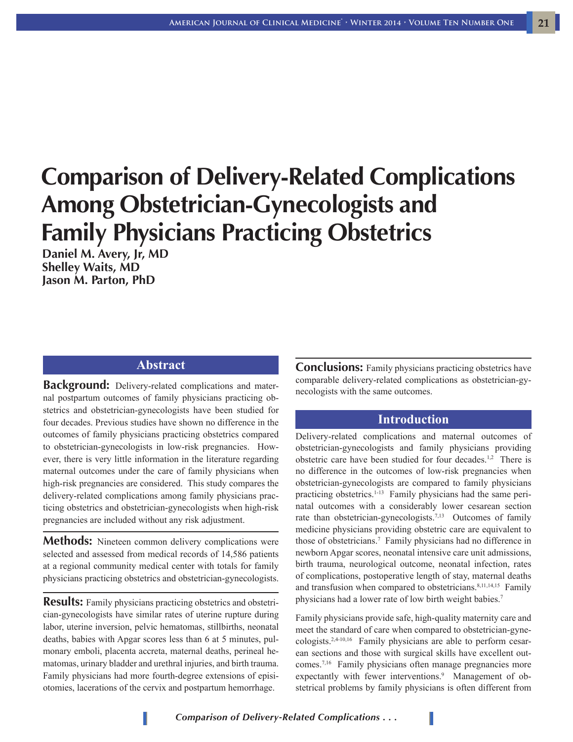# **Comparison of Delivery-Related Complications Among Obstetrician-Gynecologists and Family Physicians Practicing Obstetrics**

**Daniel M. Avery, Jr, MD Shelley Waits, MD Jason M. Parton, PhD**

#### **Abstract**

**Background:** Delivery-related complications and maternal postpartum outcomes of family physicians practicing obstetrics and obstetrician-gynecologists have been studied for four decades. Previous studies have shown no difference in the outcomes of family physicians practicing obstetrics compared to obstetrician-gynecologists in low-risk pregnancies. However, there is very little information in the literature regarding maternal outcomes under the care of family physicians when high-risk pregnancies are considered. This study compares the delivery-related complications among family physicians practicing obstetrics and obstetrician-gynecologists when high-risk pregnancies are included without any risk adjustment.

**Methods:** Nineteen common delivery complications were selected and assessed from medical records of 14,586 patients at a regional community medical center with totals for family physicians practicing obstetrics and obstetrician-gynecologists.

**Results:** Family physicians practicing obstetries and obstetrician-gynecologists have similar rates of uterine rupture during labor, uterine inversion, pelvic hematomas, stillbirths, neonatal deaths, babies with Apgar scores less than 6 at 5 minutes, pulmonary emboli, placenta accreta, maternal deaths, perineal hematomas, urinary bladder and urethral injuries, and birth trauma. Family physicians had more fourth-degree extensions of episiotomies, lacerations of the cervix and postpartum hemorrhage.

**Conclusions:** Family physicians practicing obstetrics have comparable delivery-related complications as obstetrician-gynecologists with the same outcomes.

#### **Introduction**

Delivery-related complications and maternal outcomes of obstetrician-gynecologists and family physicians providing obstetric care have been studied for four decades.<sup>1,2</sup> There is no difference in the outcomes of low-risk pregnancies when obstetrician-gynecologists are compared to family physicians practicing obstetrics.<sup>1-13</sup> Family physicians had the same perinatal outcomes with a considerably lower cesarean section rate than obstetrician-gynecologists.<sup>7,13</sup> Outcomes of family medicine physicians providing obstetric care are equivalent to those of obstetricians.7 Family physicians had no difference in newborn Apgar scores, neonatal intensive care unit admissions, birth trauma, neurological outcome, neonatal infection, rates of complications, postoperative length of stay, maternal deaths and transfusion when compared to obstetricians.<sup>8,11,14,15</sup> Family physicians had a lower rate of low birth weight babies.<sup>7</sup>

Family physicians provide safe, high-quality maternity care and meet the standard of care when compared to obstetrician-gynecologists.2,4-10,16 Family physicians are able to perform cesarean sections and those with surgical skills have excellent outcomes.7,16 Family physicians often manage pregnancies more expectantly with fewer interventions.<sup>9</sup> Management of obstetrical problems by family physicians is often different from

*Comparison of Delivery-Related Complications . . .*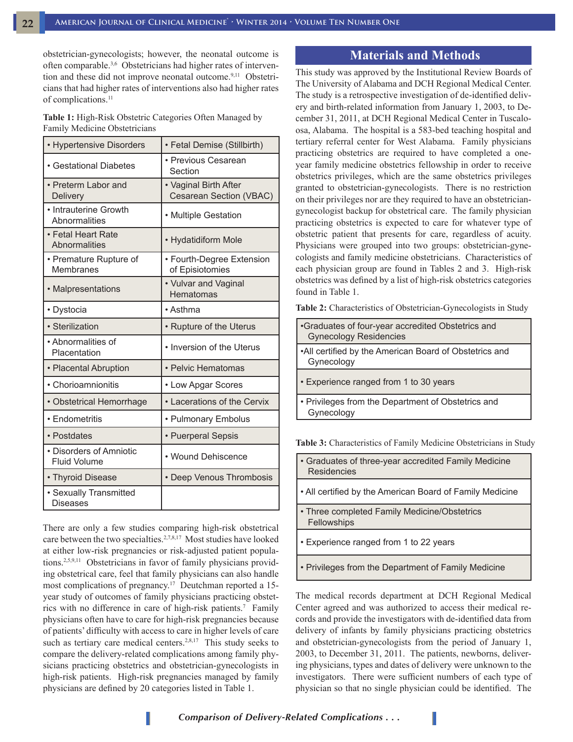obstetrician-gynecologists; however, the neonatal outcome is often comparable.<sup>3,6</sup> Obstetricians had higher rates of intervention and these did not improve neonatal outcome.<sup>9,11</sup> Obstetricians that had higher rates of interventions also had higher rates of complications.<sup>11</sup>

**Table 1:** High-Risk Obstetric Categories Often Managed by Family Medicine Obstetricians

| • Hypertensive Disorders                       | • Fetal Demise (Stillbirth)                      |  |  |
|------------------------------------------------|--------------------------------------------------|--|--|
| • Gestational Diabetes                         | • Previous Cesarean<br>Section                   |  |  |
| • Preterm Labor and<br><b>Delivery</b>         | • Vaginal Birth After<br>Cesarean Section (VBAC) |  |  |
| • Intrauterine Growth<br>Abnormalities         | • Multiple Gestation                             |  |  |
| • Fetal Heart Rate<br><b>Abnormalities</b>     | • Hydatidiform Mole                              |  |  |
| • Premature Rupture of<br>Membranes            | • Fourth-Degree Extension<br>of Episiotomies     |  |  |
| • Malpresentations                             | • Vulvar and Vaginal<br>Hematomas                |  |  |
| • Dystocia                                     | • Asthma                                         |  |  |
| · Sterilization                                | • Rupture of the Uterus                          |  |  |
| • Abnormalities of<br>Placentation             | • Inversion of the Uterus                        |  |  |
| • Placental Abruption                          | • Pelvic Hematomas                               |  |  |
| • Chorioamnionitis                             | • Low Apgar Scores                               |  |  |
| • Obstetrical Hemorrhage                       | • Lacerations of the Cervix                      |  |  |
| • Endometritis                                 | • Pulmonary Embolus                              |  |  |
| • Postdates                                    | • Puerperal Sepsis                               |  |  |
| • Disorders of Amniotic<br><b>Fluid Volume</b> | • Wound Dehiscence                               |  |  |
| • Thyroid Disease                              | • Deep Venous Thrombosis                         |  |  |
| · Sexually Transmitted<br>Diseases             |                                                  |  |  |

There are only a few studies comparing high-risk obstetrical care between the two specialties.2,7,8,17 Most studies have looked at either low-risk pregnancies or risk-adjusted patient populations.2,5,9,11 Obstetricians in favor of family physicians providing obstetrical care, feel that family physicians can also handle most complications of pregnancy.<sup>17</sup> Deutchman reported a 15year study of outcomes of family physicians practicing obstetrics with no difference in care of high-risk patients.<sup>7</sup> Family physicians often have to care for high-risk pregnancies because of patients' difficulty with access to care in higher levels of care such as tertiary care medical centers.<sup>2,8,17</sup> This study seeks to compare the delivery-related complications among family physicians practicing obstetrics and obstetrician-gynecologists in high-risk patients. High-risk pregnancies managed by family physicians are defined by 20 categories listed in Table 1.

### **Materials and Methods**

This study was approved by the Institutional Review Boards of The University of Alabama and DCH Regional Medical Center. The study is a retrospective investigation of de-identified delivery and birth-related information from January 1, 2003, to December 31, 2011, at DCH Regional Medical Center in Tuscaloosa, Alabama. The hospital is a 583-bed teaching hospital and tertiary referral center for West Alabama. Family physicians practicing obstetrics are required to have completed a oneyear family medicine obstetrics fellowship in order to receive obstetrics privileges, which are the same obstetrics privileges granted to obstetrician-gynecologists. There is no restriction on their privileges nor are they required to have an obstetriciangynecologist backup for obstetrical care. The family physician practicing obstetrics is expected to care for whatever type of obstetric patient that presents for care, regardless of acuity. Physicians were grouped into two groups: obstetrician-gynecologists and family medicine obstetricians. Characteristics of each physician group are found in Tables 2 and 3. High-risk obstetrics was defined by a list of high-risk obstetrics categories found in Table 1.

**Table 2:** Characteristics of Obstetrician-Gynecologists in Study

| •Graduates of four-year accredited Obstetrics and<br><b>Gynecology Residencies</b> |
|------------------------------------------------------------------------------------|
| •All certified by the American Board of Obstetrics and<br>Gynecology               |
| • Experience ranged from 1 to 30 years                                             |
| • Privileges from the Department of Obstetrics and<br>Gynecology                   |
|                                                                                    |

**Table 3:** Characteristics of Family Medicine Obstetricians in Study

- Graduates of three-year accredited Family Medicine **Residencies**
- All certified by the American Board of Family Medicine
- Three completed Family Medicine/Obstetrics Fellowships
- Experience ranged from 1 to 22 years
- Privileges from the Department of Family Medicine

The medical records department at DCH Regional Medical Center agreed and was authorized to access their medical records and provide the investigators with de-identified data from delivery of infants by family physicians practicing obstetrics and obstetrician-gynecologists from the period of January 1, 2003, to December 31, 2011. The patients, newborns, delivering physicians, types and dates of delivery were unknown to the investigators. There were sufficient numbers of each type of physician so that no single physician could be identified. The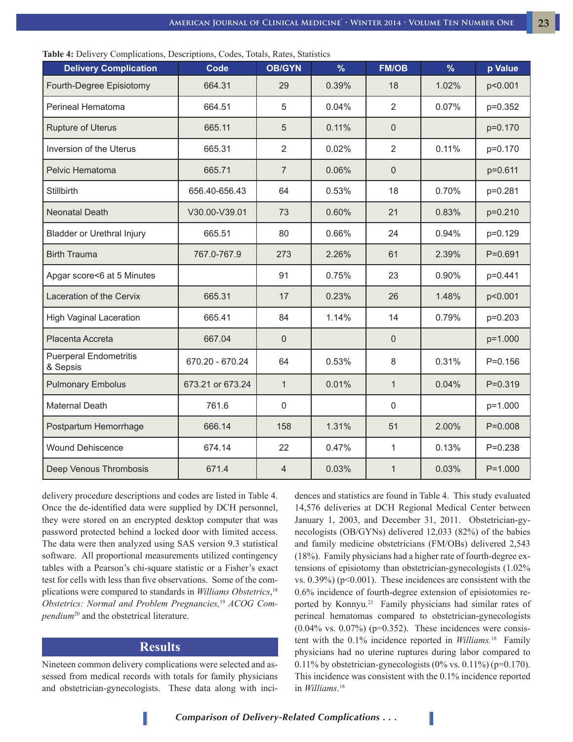| <b>Delivery Complication</b>              | Code             | <b>OB/GYN</b>  | $\frac{9}{6}$ | <b>FM/OB</b>   | $\frac{9}{6}$ | p Value     |
|-------------------------------------------|------------------|----------------|---------------|----------------|---------------|-------------|
| Fourth-Degree Episiotomy                  | 664.31           | 29             | 0.39%         | 18             | 1.02%         | p<0.001     |
| Perineal Hematoma                         | 664.51           | 5              | 0.04%         | $\overline{2}$ | 0.07%         | p=0.352     |
| <b>Rupture of Uterus</b>                  | 665.11           | 5              | 0.11%         | $\overline{0}$ |               | p=0.170     |
| Inversion of the Uterus                   | 665.31           | $\overline{2}$ | 0.02%         | $\overline{2}$ | 0.11%         | p=0.170     |
| Pelvic Hematoma                           | 665.71           | $\overline{7}$ | 0.06%         | $\mathbf 0$    |               | p=0.611     |
| Stillbirth                                | 656.40-656.43    | 64             | 0.53%         | 18             | 0.70%         | p=0.281     |
| <b>Neonatal Death</b>                     | V30.00-V39.01    | 73             | 0.60%         | 21             | 0.83%         | p=0.210     |
| <b>Bladder or Urethral Injury</b>         | 665.51           | 80             | 0.66%         | 24             | 0.94%         | p=0.129     |
| <b>Birth Trauma</b>                       | 767.0-767.9      | 273            | 2.26%         | 61             | 2.39%         | $P = 0.691$ |
| Apgar score<6 at 5 Minutes                |                  | 91             | 0.75%         | 23             | 0.90%         | p=0.441     |
| Laceration of the Cervix                  | 665.31           | 17             | 0.23%         | 26             | 1.48%         | p<0.001     |
| <b>High Vaginal Laceration</b>            | 665.41           | 84             | 1.14%         | 14             | 0.79%         | p=0.203     |
| Placenta Accreta                          | 667.04           | 0              |               | $\mathbf 0$    |               | p=1.000     |
| <b>Puerperal Endometritis</b><br>& Sepsis | 670.20 - 670.24  | 64             | 0.53%         | 8              | 0.31%         | $P = 0.156$ |
| <b>Pulmonary Embolus</b>                  | 673.21 or 673.24 | $\mathbf{1}$   | 0.01%         | $\mathbf{1}$   | 0.04%         | $P = 0.319$ |
| <b>Maternal Death</b>                     | 761.6            | $\mathsf 0$    |               | $\mathbf{0}$   |               | p=1.000     |
| Postpartum Hemorrhage                     | 666.14           | 158            | 1.31%         | 51             | 2.00%         | $P=0.008$   |
| <b>Wound Dehiscence</b>                   | 674.14           | 22             | 0.47%         | 1              | 0.13%         | $P = 0.238$ |
| Deep Venous Thrombosis                    | 671.4            | $\overline{4}$ | 0.03%         | $\mathbf{1}$   | 0.03%         | $P = 1.000$ |

**Table 4:** Delivery Complications, Descriptions, Codes, Totals, Rates, Statistics

delivery procedure descriptions and codes are listed in Table 4. Once the de-identified data were supplied by DCH personnel, they were stored on an encrypted desktop computer that was password protected behind a locked door with limited access. The data were then analyzed using SAS version 9.3 statistical software. All proportional measurements utilized contingency tables with a Pearson's chi-square statistic or a Fisher's exact test for cells with less than five observations. Some of the complications were compared to standards in *Williams Obstetrics*, 18 *Obstetrics: Normal and Problem Pregnancies,*19 *ACOG Compendium*20 and the obstetrical literature.

#### **Results**

Nineteen common delivery complications were selected and assessed from medical records with totals for family physicians and obstetrician-gynecologists. These data along with incidences and statistics are found in Table 4. This study evaluated 14,576 deliveries at DCH Regional Medical Center between January 1, 2003, and December 31, 2011. Obstetrician-gynecologists (OB/GYNs) delivered 12,033 (82%) of the babies and family medicine obstetricians (FM/OBs) delivered 2,543 (18%). Family physicians had a higher rate of fourth-degree extensions of episiotomy than obstetrician-gynecologists (1.02% vs.  $0.39\%$ ) (p<0.001). These incidences are consistent with the 0.6% incidence of fourth-degree extension of episiotomies reported by Konnyu.21 Family physicians had similar rates of perineal hematomas compared to obstetrician-gynecologists  $(0.04\% \text{ vs. } 0.07\%)$  (p=0.352). These incidences were consistent with the 0.1% incidence reported in *Williams.*18 Family physicians had no uterine ruptures during labor compared to 0.11% by obstetrician-gynecologists  $(0\% \text{ vs. } 0.11\%)$  (p=0.170). This incidence was consistent with the 0.1% incidence reported in *Williams.*<sup>18</sup>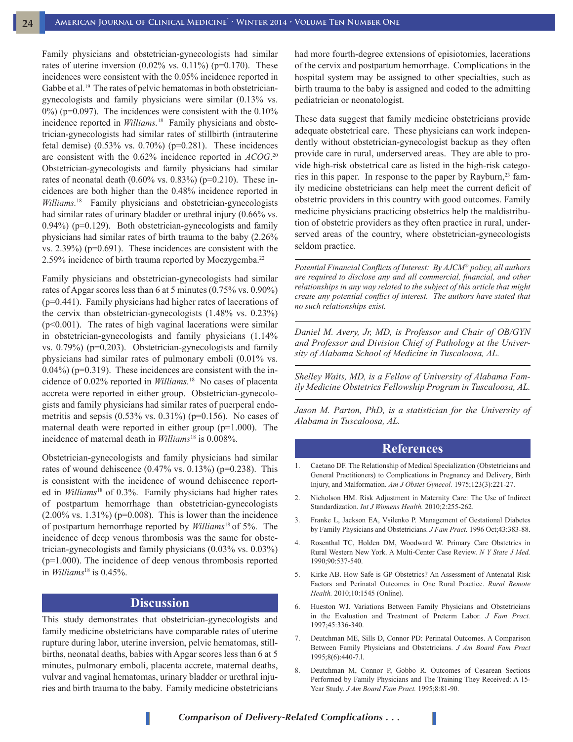Family physicians and obstetrician-gynecologists had similar rates of uterine inversion  $(0.02\% \text{ vs. } 0.11\%)$  (p=0.170). These incidences were consistent with the 0.05% incidence reported in Gabbe et al.<sup>19</sup> The rates of pelvic hematomas in both obstetriciangynecologists and family physicians were similar (0.13% vs.  $0\%$ ) (p=0.097). The incidences were consistent with the  $0.10\%$ incidence reported in *Williams.*18 Family physicians and obstetrician-gynecologists had similar rates of stillbirth (intrauterine fetal demise)  $(0.53\% \text{ vs. } 0.70\%)$  (p=0.281). These incidences are consistent with the 0.62% incidence reported in *ACOG*. 20 Obstetrician-gynecologists and family physicians had similar rates of neonatal death  $(0.60\% \text{ vs. } 0.83\%)$  (p=0.210). These incidences are both higher than the 0.48% incidence reported in *Williams.*18 Family physicians and obstetrician-gynecologists had similar rates of urinary bladder or urethral injury (0.66% vs. 0.94%) (p=0.129). Both obstetrician-gynecologists and family physicians had similar rates of birth trauma to the baby (2.26% vs. 2.39%) (p=0.691). These incidences are consistent with the 2.59% incidence of birth trauma reported by Moczygemba.<sup>22</sup>

Family physicians and obstetrician-gynecologists had similar rates of Apgar scores less than 6 at 5 minutes (0.75% vs. 0.90%) (p=0.441). Family physicians had higher rates of lacerations of the cervix than obstetrician-gynecologists (1.48% vs. 0.23%) (p<0.001). The rates of high vaginal lacerations were similar in obstetrician-gynecologists and family physicians (1.14% vs. 0.79%) (p=0.203). Obstetrician-gynecologists and family physicians had similar rates of pulmonary emboli (0.01% vs.  $0.04\%$ ) ( $p=0.319$ ). These incidences are consistent with the incidence of 0.02% reported in *Williams.*18 No cases of placenta accreta were reported in either group. Obstetrician-gynecologists and family physicians had similar rates of puerperal endometritis and sepsis  $(0.53\% \text{ vs. } 0.31\%)$  (p=0.156). No cases of maternal death were reported in either group (p=1.000). The incidence of maternal death in *Williams*18 is 0.008%*.*

Obstetrician-gynecologists and family physicians had similar rates of wound dehiscence  $(0.47\% \text{ vs. } 0.13\%)$  (p=0.238). This is consistent with the incidence of wound dehiscence reported in *Williams*<sup>18</sup> of 0.3%. Family physicians had higher rates of postpartum hemorrhage than obstetrician-gynecologists  $(2.00\% \text{ vs. } 1.31\%)$  (p=0.008). This is lower than the incidence of postpartum hemorrhage reported by *Williams*18 of 5%. The incidence of deep venous thrombosis was the same for obstetrician-gynecologists and family physicians (0.03% vs. 0.03%) (p=1.000). The incidence of deep venous thrombosis reported in *Williams*18 is 0.45%.

## **Discussion**

This study demonstrates that obstetrician-gynecologists and family medicine obstetricians have comparable rates of uterine rupture during labor, uterine inversion, pelvic hematomas, stillbirths, neonatal deaths, babies with Apgar scores less than 6 at 5 minutes, pulmonary emboli, placenta accrete, maternal deaths, vulvar and vaginal hematomas, urinary bladder or urethral injuries and birth trauma to the baby. Family medicine obstetricians had more fourth-degree extensions of episiotomies, lacerations of the cervix and postpartum hemorrhage. Complications in the hospital system may be assigned to other specialties, such as birth trauma to the baby is assigned and coded to the admitting pediatrician or neonatologist.

These data suggest that family medicine obstetricians provide adequate obstetrical care. These physicians can work independently without obstetrician-gynecologist backup as they often provide care in rural, underserved areas. They are able to provide high-risk obstetrical care as listed in the high-risk categories in this paper. In response to the paper by Rayburn,<sup>23</sup> family medicine obstetricians can help meet the current deficit of obstetric providers in this country with good outcomes. Family medicine physicians practicing obstetrics help the maldistribution of obstetric providers as they often practice in rural, underserved areas of the country, where obstetrician-gynecologists seldom practice.

*Potential Financial Conflicts of Interest: By AJCM*® *policy, all authors are required to disclose any and all commercial, financial, and other relationships in any way related to the subject of this article that might create any potential conflict of interest. The authors have stated that no such relationships exist.*

*Daniel M. Avery, Jr, MD, is Professor and Chair of OB/GYN and Professor and Division Chief of Pathology at the University of Alabama School of Medicine in Tuscaloosa, AL.*

*Shelley Waits, MD, is a Fellow of University of Alabama Family Medicine Obstetrics Fellowship Program in Tuscaloosa, AL.*

*Jason M. Parton, PhD, is a statistician for the University of Alabama in Tuscaloosa, AL.* 

#### **References**

- 1. Caetano DF. The Relationship of Medical Specialization (Obstetricians and General Practitioners) to Complications in Pregnancy and Delivery, Birth Injury, and Malformation. *Am J Obstet Gynecol.* 1975;123(3):221-27.
- 2. Nicholson HM. Risk Adjustment in Maternity Care: The Use of Indirect Standardization. *Int J Womens Health.* 2010;2:255-262.
- 3. Franke L, Jackson EA, Vsilenko P. Management of Gestational Diabetes by Family Physicians and Obstetricians. *J Fam Pract.* 1996 Oct;43:383-88.
- 4. Rosenthal TC, Holden DM, Woodward W. Primary Care Obstetrics in Rural Western New York. A Multi-Center Case Review. *N Y State J Med.* 1990;90:537-540.
- 5. Kirke AB. How Safe is GP Obstetrics? An Assessment of Antenatal Risk Factors and Perinatal Outcomes in One Rural Practice. *Rural Remote Health.* 2010;10:1545 (Online).
- 6. Hueston WJ. Variations Between Family Physicians and Obstetricians in the Evaluation and Treatment of Preterm Labor. *J Fam Pract.* 1997;45:336-340.
- 7. Deutchman ME, Sills D, Connor PD: Perinatal Outcomes. A Comparison Between Family Physicians and Obstetricians. *J Am Board Fam Pract*  1995;8(6):440-7.l.
- 8. Deutchman M, Connor P, Gobbo R. Outcomes of Cesarean Sections Performed by Family Physicians and The Training They Received: A 15- Year Study. *J Am Board Fam Pract.* 1995;8:81-90.

*Comparison of Delivery-Related Complications . . .*